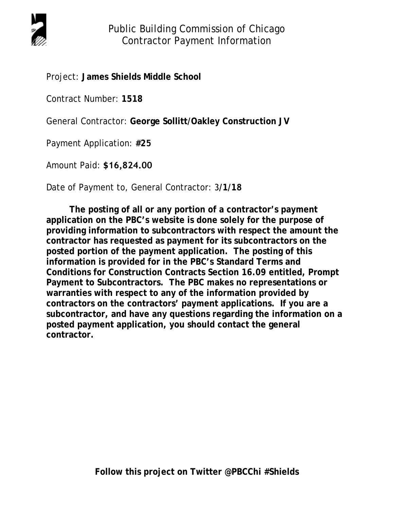

Public Building Commission of Chicago Contractor Payment Information

Project: **James Shields Middle School**

Contract Number: **1518**

General Contractor: **George Sollitt/Oakley Construction JV**

Payment Application: **#25**

Amount Paid: **\$16,824.00**

Date of Payment to, General Contractor: 3**/1/18**

**The posting of all or any portion of a contractor's payment application on the PBC's website is done solely for the purpose of providing information to subcontractors with respect the amount the contractor has requested as payment for its subcontractors on the posted portion of the payment application. The posting of this information is provided for in the PBC's Standard Terms and Conditions for Construction Contracts Section 16.09 entitled, Prompt Payment to Subcontractors. The PBC makes no representations or warranties with respect to any of the information provided by contractors on the contractors' payment applications. If you are a subcontractor, and have any questions regarding the information on a posted payment application, you should contact the general contractor.**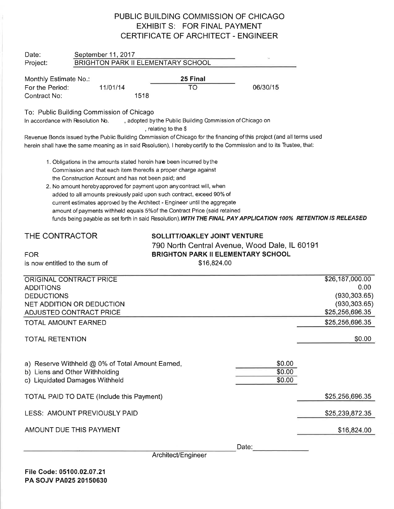## PUBLIC BUILDING COMMISSION OF CHICAGO EXHIBIT S: FOR FINAL PAYMENT CERTIFICATE OF ARCHITECT - ENGINEER

| Date:                             | September 11, 2017<br>BRIGHTON PARK II ELEMENTARY SCHOOL                                                                                                                                        |                                                                                                                                                                                                                                                                                                                                                                                                                                |                            |                 |  |  |  |  |
|-----------------------------------|-------------------------------------------------------------------------------------------------------------------------------------------------------------------------------------------------|--------------------------------------------------------------------------------------------------------------------------------------------------------------------------------------------------------------------------------------------------------------------------------------------------------------------------------------------------------------------------------------------------------------------------------|----------------------------|-----------------|--|--|--|--|
| Project:                          |                                                                                                                                                                                                 |                                                                                                                                                                                                                                                                                                                                                                                                                                |                            |                 |  |  |  |  |
| Monthly Estimate No.:             |                                                                                                                                                                                                 | 25 Final                                                                                                                                                                                                                                                                                                                                                                                                                       |                            |                 |  |  |  |  |
| For the Period:                   | 11/01/14                                                                                                                                                                                        | <b>TO</b>                                                                                                                                                                                                                                                                                                                                                                                                                      | 06/30/15                   |                 |  |  |  |  |
| Contract No:                      | 1518                                                                                                                                                                                            |                                                                                                                                                                                                                                                                                                                                                                                                                                |                            |                 |  |  |  |  |
|                                   | To: Public Building Commission of Chicago                                                                                                                                                       |                                                                                                                                                                                                                                                                                                                                                                                                                                |                            |                 |  |  |  |  |
| In accordance with Resolution No. |                                                                                                                                                                                                 | , adopted by the Public Building Commission of Chicago on<br>, relating to the \$                                                                                                                                                                                                                                                                                                                                              |                            |                 |  |  |  |  |
|                                   |                                                                                                                                                                                                 | Revenue Bonds issued bythe Public Building Commission of Chicago for the financing of this project (and all terms used                                                                                                                                                                                                                                                                                                         |                            |                 |  |  |  |  |
|                                   |                                                                                                                                                                                                 | herein shall have the same meaning as in said Resolution), I hereby certify to the Commission and to its Trustee, that:                                                                                                                                                                                                                                                                                                        |                            |                 |  |  |  |  |
|                                   | 1. Obligations in the amounts stated herein have been incurred by the<br>Commission and that each item thereofis a proper charge against<br>the Construction Account and has not been paid; and | 2. No amount hereby approved for payment upon any contract will, when<br>added to all amounts previously paid upon such contract, exceed 90% of<br>current estimates approved by the Architect - Engineer until the aggregate<br>amount of payments withheld equals 5% of the Contract Price (said retained<br>funds being payable as set forth in said Resolution). WITH THE FINAL PAY APPLICATION 100% RETENTION IS RELEASED |                            |                 |  |  |  |  |
| THE CONTRACTOR                    |                                                                                                                                                                                                 | SOLLITT/OAKLEY JOINT VENTURE                                                                                                                                                                                                                                                                                                                                                                                                   |                            |                 |  |  |  |  |
|                                   |                                                                                                                                                                                                 | 790 North Central Avenue, Wood Dale, IL 60191                                                                                                                                                                                                                                                                                                                                                                                  |                            |                 |  |  |  |  |
| <b>FOR</b>                        |                                                                                                                                                                                                 | <b>BRIGHTON PARK II ELEMENTARY SCHOOL</b>                                                                                                                                                                                                                                                                                                                                                                                      |                            |                 |  |  |  |  |
| is now entitled to the sum of     |                                                                                                                                                                                                 | \$16,824.00                                                                                                                                                                                                                                                                                                                                                                                                                    |                            |                 |  |  |  |  |
| ORIGINAL CONTRACT PRICE           |                                                                                                                                                                                                 |                                                                                                                                                                                                                                                                                                                                                                                                                                |                            | \$26,187,000.00 |  |  |  |  |
| <b>ADDITIONS</b>                  |                                                                                                                                                                                                 |                                                                                                                                                                                                                                                                                                                                                                                                                                |                            | 0.00            |  |  |  |  |
| <b>DEDUCTIONS</b>                 |                                                                                                                                                                                                 |                                                                                                                                                                                                                                                                                                                                                                                                                                |                            | (930, 303.65)   |  |  |  |  |
|                                   | NET ADDITION OR DEDUCTION                                                                                                                                                                       |                                                                                                                                                                                                                                                                                                                                                                                                                                |                            | (930, 303.65)   |  |  |  |  |
|                                   | ADJUSTED CONTRACT PRICE                                                                                                                                                                         |                                                                                                                                                                                                                                                                                                                                                                                                                                |                            | \$25,256,696.35 |  |  |  |  |
| <b>TOTAL AMOUNT EARNED</b>        |                                                                                                                                                                                                 |                                                                                                                                                                                                                                                                                                                                                                                                                                |                            | \$25,256,696.35 |  |  |  |  |
| <b>TOTAL RETENTION</b>            |                                                                                                                                                                                                 |                                                                                                                                                                                                                                                                                                                                                                                                                                |                            | \$0.00          |  |  |  |  |
|                                   | a) Reserve Withheld @ 0% of Total Amount Earned,<br>b) Liens and Other Withholding<br>c) Liquidated Damages Withheld                                                                            |                                                                                                                                                                                                                                                                                                                                                                                                                                | \$0.00<br>\$0.00<br>\$0.00 |                 |  |  |  |  |
|                                   | TOTAL PAID TO DATE (Include this Payment)                                                                                                                                                       |                                                                                                                                                                                                                                                                                                                                                                                                                                |                            | \$25,256,696.35 |  |  |  |  |
|                                   | LESS: AMOUNT PREVIOUSLY PAID                                                                                                                                                                    |                                                                                                                                                                                                                                                                                                                                                                                                                                |                            | \$25,239,872.35 |  |  |  |  |
|                                   | AMOUNT DUE THIS PAYMENT                                                                                                                                                                         |                                                                                                                                                                                                                                                                                                                                                                                                                                |                            | \$16,824.00     |  |  |  |  |
|                                   |                                                                                                                                                                                                 |                                                                                                                                                                                                                                                                                                                                                                                                                                | Date:                      |                 |  |  |  |  |

ArchitecVEngineer